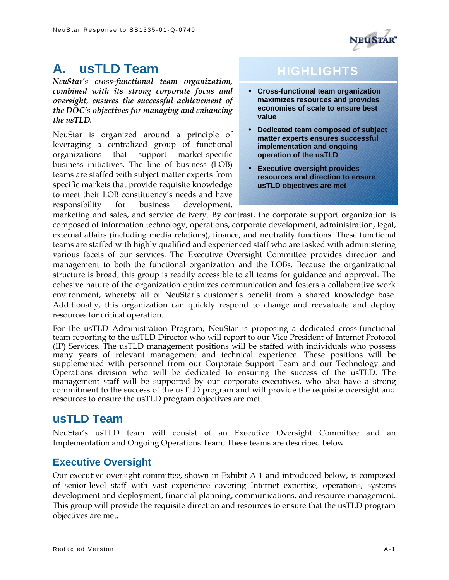

# **A. usTLD Team**

*NeuStar's cross-functional team organization, combined with its strong corporate focus and oversight, ensures the successful achievement of the DOC's objectives for managing and enhancing the usTLD.* 

NeuStar is organized around a principle of leveraging a centralized group of functional organizations that support market-specific business initiatives. The line of business (LOB) teams are staffed with subject matter experts from specific markets that provide requisite knowledge to meet their LOB constituency's needs and have responsibility for business development,

# **HIGHLIGHTS**

- **Cross-functional team organization maximizes resources and provides economies of scale to ensure best value**
- **Dedicated team composed of subject matter experts ensures successful implementation and ongoing operation of the usTLD**
- **Executive oversight provides resources and direction to ensure usTLD objectives are met**

marketing and sales, and service delivery. By contrast, the corporate support organization is composed of information technology, operations, corporate development, administration, legal, external affairs (including media relations), finance, and neutrality functions. These functional teams are staffed with highly qualified and experienced staff who are tasked with administering various facets of our services. The Executive Oversight Committee provides direction and management to both the functional organization and the LOBs. Because the organizational structure is broad, this group is readily accessible to all teams for guidance and approval. The cohesive nature of the organization optimizes communication and fosters a collaborative work environment, whereby all of NeuStar's customer's benefit from a shared knowledge base. Additionally, this organization can quickly respond to change and reevaluate and deploy resources for critical operation.

For the usTLD Administration Program, NeuStar is proposing a dedicated cross-functional team reporting to the usTLD Director who will report to our Vice President of Internet Protocol (IP) Services. The usTLD management positions will be staffed with individuals who possess many years of relevant management and technical experience. These positions will be supplemented with personnel from our Corporate Support Team and our Technology and Operations division who will be dedicated to ensuring the success of the usTLD. The management staff will be supported by our corporate executives, who also have a strong commitment to the success of the usTLD program and will provide the requisite oversight and resources to ensure the usTLD program objectives are met.

## **usTLD Team**

NeuStar's usTLD team will consist of an Executive Oversight Committee and an Implementation and Ongoing Operations Team. These teams are described below.

### **Executive Oversight**

Our executive oversight committee, shown in Exhibit A-1 and introduced below, is composed of senior-level staff with vast experience covering Internet expertise, operations, systems development and deployment, financial planning, communications, and resource management. This group will provide the requisite direction and resources to ensure that the usTLD program objectives are met.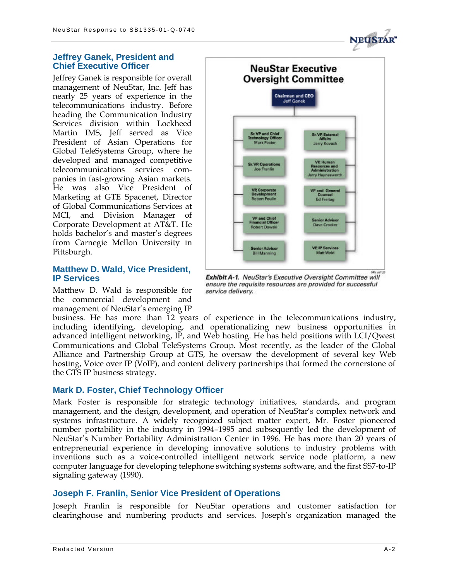#### **Jeffrey Ganek, President and Chief Executive Officer**

Jeffrey Ganek is responsible for overall management of NeuStar, Inc. Jeff has nearly 25 years of experience in the telecommunications industry. Before heading the Communication Industry Services division within Lockheed Martin IMS, Jeff served as Vice President of Asian Operations for Global TeleSystems Group, where he developed and managed competitive telecommunications services companies in fast-growing Asian markets. He was also Vice President of Marketing at GTE Spacenet, Director of Global Communications Services at MCI, and Division Manager of Corporate Development at AT&T. He holds bachelor's and master's degrees from Carnegie Mellon University in Pittsburgh.

#### **Matthew D. Wald, Vice President, IP Services**

Matthew D. Wald is responsible for the commercial development and management of NeuStar's emerging IP



Exhibit A-1. NeuStar's Executive Oversight Committee will ensure the requisite resources are provided for successful service delivery.

business. He has more than 12 years of experience in the telecommunications industry, including identifying, developing, and operationalizing new business opportunities in advanced intelligent networking, IP, and Web hosting. He has held positions with LCI/Qwest Communications and Global TeleSystems Group. Most recently, as the leader of the Global Alliance and Partnership Group at GTS, he oversaw the development of several key Web hosting, Voice over IP (VoIP), and content delivery partnerships that formed the cornerstone of the GTS IP business strategy.

#### **Mark D. Foster, Chief Technology Officer**

Mark Foster is responsible for strategic technology initiatives, standards, and program management, and the design, development, and operation of NeuStar's complex network and systems infrastructure. A widely recognized subject matter expert, Mr. Foster pioneered number portability in the industry in 1994–1995 and subsequently led the development of NeuStar's Number Portability Administration Center in 1996. He has more than 20 years of entrepreneurial experience in developing innovative solutions to industry problems with inventions such as a voice-controlled intelligent network service node platform, a new computer language for developing telephone switching systems software, and the first SS7-to-IP signaling gateway (1990).

#### **Joseph F. Franlin, Senior Vice President of Operations**

Joseph Franlin is responsible for NeuStar operations and customer satisfaction for clearinghouse and numbering products and services. Joseph's organization managed the

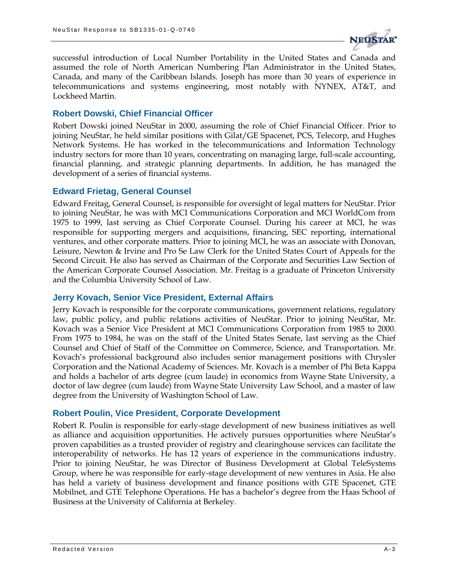

successful introduction of Local Number Portability in the United States and Canada and assumed the role of North American Numbering Plan Administrator in the United States, Canada, and many of the Caribbean Islands. Joseph has more than 30 years of experience in telecommunications and systems engineering, most notably with NYNEX, AT&T, and Lockheed Martin.

#### **Robert Dowski, Chief Financial Officer**

Robert Dowski joined NeuStar in 2000, assuming the role of Chief Financial Officer. Prior to joining NeuStar, he held similar positions with Gilat/GE Spacenet, PCS, Telecorp, and Hughes Network Systems. He has worked in the telecommunications and Information Technology industry sectors for more than 10 years, concentrating on managing large, full-scale accounting, financial planning, and strategic planning departments. In addition, he has managed the development of a series of financial systems.

#### **Edward Frietag, General Counsel**

Edward Freitag, General Counsel, is responsible for oversight of legal matters for NeuStar. Prior to joining NeuStar, he was with MCI Communications Corporation and MCI WorldCom from 1975 to 1999, last serving as Chief Corporate Counsel. During his career at MCI, he was responsible for supporting mergers and acquisitions, financing, SEC reporting, international ventures, and other corporate matters. Prior to joining MCI, he was an associate with Donovan, Leisure, Newton & Irvine and Pro Se Law Clerk for the United States Court of Appeals for the Second Circuit. He also has served as Chairman of the Corporate and Securities Law Section of the American Corporate Counsel Association. Mr. Freitag is a graduate of Princeton University and the Columbia University School of Law.

#### **Jerry Kovach, Senior Vice President, External Affairs**

Jerry Kovach is responsible for the corporate communications, government relations, regulatory law, public policy, and public relations activities of NeuStar. Prior to joining NeuStar, Mr. Kovach was a Senior Vice President at MCI Communications Corporation from 1985 to 2000. From 1975 to 1984, he was on the staff of the United States Senate, last serving as the Chief Counsel and Chief of Staff of the Committee on Commerce, Science, and Transportation. Mr. Kovach's professional background also includes senior management positions with Chrysler Corporation and the National Academy of Sciences. Mr. Kovach is a member of Phi Beta Kappa and holds a bachelor of arts degree (cum laude) in economics from Wayne State University, a doctor of law degree (cum laude) from Wayne State University Law School, and a master of law degree from the University of Washington School of Law.

#### **Robert Poulin, Vice President, Corporate Development**

Robert R. Poulin is responsible for early-stage development of new business initiatives as well as alliance and acquisition opportunities. He actively pursues opportunities where NeuStar's proven capabilities as a trusted provider of registry and clearinghouse services can facilitate the interoperability of networks. He has 12 years of experience in the communications industry. Prior to joining NeuStar, he was Director of Business Development at Global TeleSystems Group, where he was responsible for early-stage development of new ventures in Asia. He also has held a variety of business development and finance positions with GTE Spacenet, GTE Mobilnet, and GTE Telephone Operations. He has a bachelor's degree from the Haas School of Business at the University of California at Berkeley.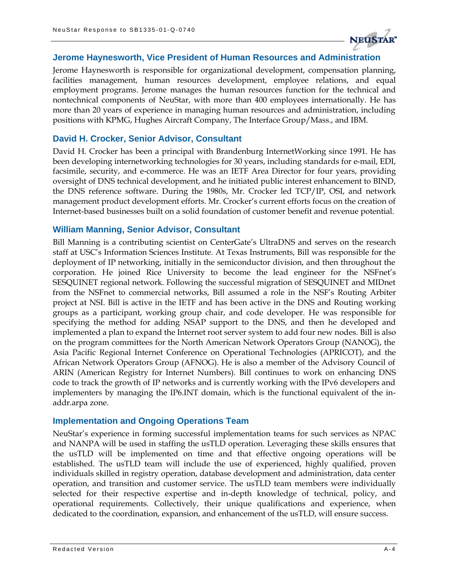

#### **Jerome Haynesworth, Vice President of Human Resources and Administration**

Jerome Haynesworth is responsible for organizational development, compensation planning, facilities management, human resources development, employee relations, and equal employment programs. Jerome manages the human resources function for the technical and nontechnical components of NeuStar, with more than 400 employees internationally. He has more than 20 years of experience in managing human resources and administration, including positions with KPMG, Hughes Aircraft Company, The Interface Group/Mass., and IBM.

#### **David H. Crocker, Senior Advisor, Consultant**

David H. Crocker has been a principal with Brandenburg InternetWorking since 1991. He has been developing internetworking technologies for 30 years, including standards for e-mail, EDI, facsimile, security, and e-commerce. He was an IETF Area Director for four years, providing oversight of DNS technical development, and he initiated public interest enhancement to BIND, the DNS reference software. During the 1980s, Mr. Crocker led TCP/IP, OSI, and network management product development efforts. Mr. Crocker's current efforts focus on the creation of Internet-based businesses built on a solid foundation of customer benefit and revenue potential.

#### **William Manning, Senior Advisor, Consultant**

Bill Manning is a contributing scientist on CenterGate's UltraDNS and serves on the research staff at USC's Information Sciences Institute. At Texas Instruments, Bill was responsible for the deployment of IP networking, initially in the semiconductor division, and then throughout the corporation. He joined Rice University to become the lead engineer for the NSFnet's SESQUINET regional network. Following the successful migration of SESQUINET and MIDnet from the NSFnet to commercial networks, Bill assumed a role in the NSF's Routing Arbiter project at NSI. Bill is active in the IETF and has been active in the DNS and Routing working groups as a participant, working group chair, and code developer. He was responsible for specifying the method for adding NSAP support to the DNS, and then he developed and implemented a plan to expand the Internet root server system to add four new nodes. Bill is also on the program committees for the North American Network Operators Group (NANOG), the Asia Pacific Regional Internet Conference on Operational Technologies (APRICOT), and the African Network Operators Group (AFNOG). He is also a member of the Advisory Council of ARIN (American Registry for Internet Numbers). Bill continues to work on enhancing DNS code to track the growth of IP networks and is currently working with the IPv6 developers and implementers by managing the IP6.INT domain, which is the functional equivalent of the inaddr.arpa zone.

#### **Implementation and Ongoing Operations Team**

NeuStar's experience in forming successful implementation teams for such services as NPAC and NANPA will be used in staffing the usTLD operation. Leveraging these skills ensures that the usTLD will be implemented on time and that effective ongoing operations will be established. The usTLD team will include the use of experienced, highly qualified, proven individuals skilled in registry operation, database development and administration, data center operation, and transition and customer service. The usTLD team members were individually selected for their respective expertise and in-depth knowledge of technical, policy, and operational requirements. Collectively, their unique qualifications and experience, when dedicated to the coordination, expansion, and enhancement of the usTLD, will ensure success.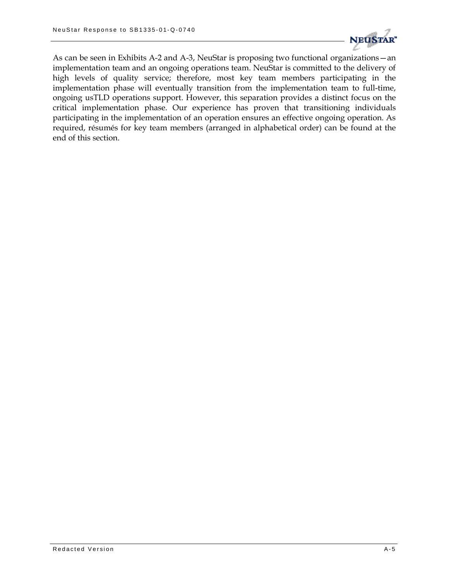

As can be seen in Exhibits A-2 and A-3, NeuStar is proposing two functional organizations—an implementation team and an ongoing operations team. NeuStar is committed to the delivery of high levels of quality service; therefore, most key team members participating in the implementation phase will eventually transition from the implementation team to full-time, ongoing usTLD operations support. However, this separation provides a distinct focus on the critical implementation phase. Our experience has proven that transitioning individuals participating in the implementation of an operation ensures an effective ongoing operation. As required, résumés for key team members (arranged in alphabetical order) can be found at the end of this section.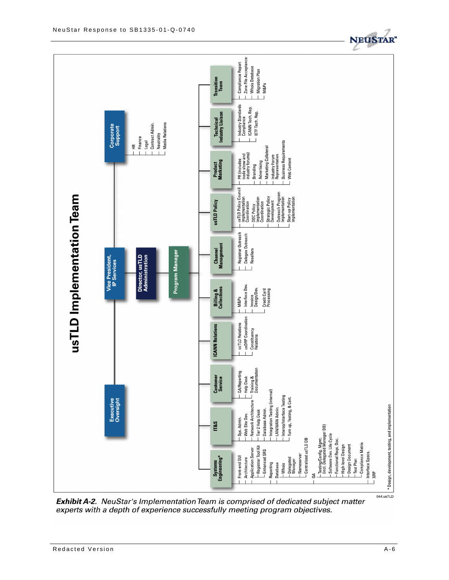

**Exhibit A-2.** NeuStar's Implementation Team is comprised of dedicated subject matter experts with a depth of experience successfully meeting program objectives.

**IT&S** 

Systems<br>Engineering\*

Sys. Admin.

Front-end GUI

Architecture

- Registrar Tool Kit Application Server - Enhanced SRS

**Database** Reporting  $-Whois$  \* Design, development, testing, and implementation

044.usTLD

- Testing/Config. Mgmt.<br>(incl. Delegated Manager DB) Software Dev. Life Cycle

Functional Reqs. Doc.

**High-level Design Design Document**  - Compliance Matrix

Test Plan

Interface Specs.

XRP

L-Centralized usTLD DB

á

Nameserver - Delegated<br>Manager

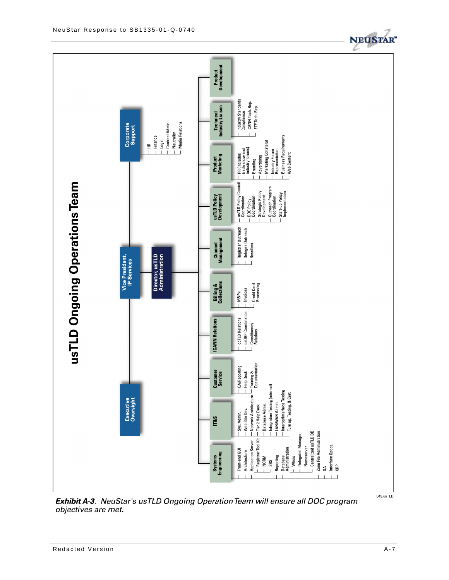

Exhibit A-3. NeuStar's usTLD Ongoing Operation Team will ensure all DOC program objectives are met.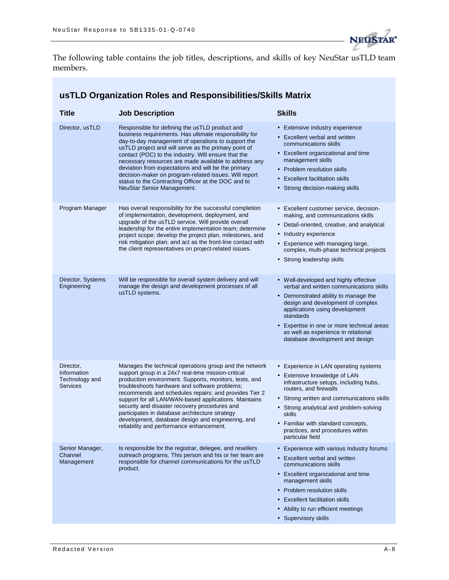

The following table contains the job titles, descriptions, and skills of key NeuStar usTLD team members.

### **usTLD Organization Roles and Responsibilities/Skills Matrix**

| <b>Title</b>                                                  | <b>Job Description</b>                                                                                                                                                                                                                                                                                                                                                                                                                                                                                                                        | <b>Skills</b>                                                                                                                                                                                                                                                                                                                              |
|---------------------------------------------------------------|-----------------------------------------------------------------------------------------------------------------------------------------------------------------------------------------------------------------------------------------------------------------------------------------------------------------------------------------------------------------------------------------------------------------------------------------------------------------------------------------------------------------------------------------------|--------------------------------------------------------------------------------------------------------------------------------------------------------------------------------------------------------------------------------------------------------------------------------------------------------------------------------------------|
| Director, usTLD                                               | Responsible for defining the usTLD product and<br>business requirements. Has ultimate responsibility for<br>day-to-day management of operations to support the<br>usTLD project and will serve as the primary point of<br>contact (POC) to the industry. Will ensure that the<br>necessary resources are made available to address any<br>deviation from expectations and will be the primary<br>decision-maker on program-related issues. Will report<br>status to the Contracting Officer at the DOC and to<br>NeuStar Senior Management.   | • Extensive industry experience<br>• Excellent verbal and written<br>communications skills<br>• Excellent organizational and time<br>management skills<br>• Problem resolution skills<br>• Excellent facilitation skills<br>• Strong decision-making skills                                                                                |
| Program Manager                                               | Has overall responsibility for the successful completion<br>of implementation, development, deployment, and<br>upgrade of the usTLD service. Will provide overall<br>leadership for the entire implementation team; determine<br>project scope; develop the project plan, milestones, and<br>risk mitigation plan; and act as the front-line contact with<br>the client representatives on project-related issues.                                                                                                                            | • Excellent customer service, decision-<br>making, and communications skills<br>• Detail-oriented, creative, and analytical<br>• Industry experience<br>• Experience with managing large,<br>complex, multi-phase technical projects<br>• Strong leadership skills                                                                         |
| Director, Systems<br>Engineering                              | Will be responsible for overall system delivery and will<br>manage the design and development processes of all<br>usTLD systems.                                                                                                                                                                                                                                                                                                                                                                                                              | • Well-developed and highly effective<br>verbal and written communications skills<br>• Demonstrated ability to manage the<br>design and development of complex<br>applications using development<br>standards<br>• Expertise in one or more technical areas<br>as well as experience in relational<br>database development and design      |
| Director,<br>Information<br>Technology and<br><b>Services</b> | Manages the technical operations group and the network<br>support group in a 24x7 real-time mission-critical<br>production environment. Supports, monitors, tests, and<br>troubleshoots hardware and software problems;<br>recommends and schedules repairs; and provides Tier 2<br>support for all LAN/WAN-based applications. Maintains<br>security and disaster recovery procedures and<br>participates in database architecture strategy<br>development, database design and engineering, and<br>reliability and performance enhancement. | • Experience in LAN operating systems<br>• Extensive knowledge of LAN<br>infrastructure setups, including hubs,<br>routers, and firewalls<br>• Strong written and communications skills<br>• Strong analytical and problem-solving<br>skills<br>• Familiar with standard concepts,<br>practices, and procedures within<br>particular field |
| Senior Manager,<br>Channel<br>Management                      | Is responsible for the registrar, delegee, and resellers<br>outreach programs. This person and his or her team are<br>responsible for channel communications for the usTLD<br>product.                                                                                                                                                                                                                                                                                                                                                        | • Experience with various Industry forums<br>• Excellent verbal and written<br>communications skills<br>• Excellent organizational and time<br>management skills<br>• Problem resolution skills<br><b>Excellent facilitation skills</b><br>• Ability to run efficient meetings<br>• Supervisory skills                                     |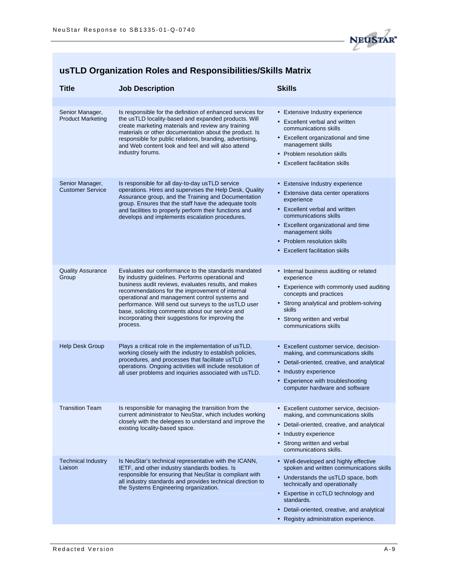

## **usTLD Organization Roles and Responsibilities/Skills Matrix**

| <b>Title</b>                                | <b>Job Description</b>                                                                                                                                                                                                                                                                                                                                                                                                                           | <b>Skills</b>                                                                                                                                                                                                                                                                                          |
|---------------------------------------------|--------------------------------------------------------------------------------------------------------------------------------------------------------------------------------------------------------------------------------------------------------------------------------------------------------------------------------------------------------------------------------------------------------------------------------------------------|--------------------------------------------------------------------------------------------------------------------------------------------------------------------------------------------------------------------------------------------------------------------------------------------------------|
|                                             |                                                                                                                                                                                                                                                                                                                                                                                                                                                  |                                                                                                                                                                                                                                                                                                        |
| Senior Manager,<br><b>Product Marketing</b> | Is responsible for the definition of enhanced services for<br>the usTLD locality-based and expanded products. Will<br>create marketing materials and review any training<br>materials or other documentation about the product. Is<br>responsible for public relations, branding, advertising,<br>and Web content look and feel and will also attend<br>industry forums.                                                                         | • Extensive Industry experience<br>• Excellent verbal and written<br>communications skills<br>• Excellent organizational and time<br>management skills<br>• Problem resolution skills<br>• Excellent facilitation skills                                                                               |
| Senior Manager,<br><b>Customer Service</b>  | Is responsible for all day-to-day usTLD service<br>operations. Hires and supervises the Help Desk, Quality<br>Assurance group, and the Training and Documentation<br>group. Ensures that the staff have the adequate tools<br>and facilities to properly perform their functions and<br>develops and implements escalation procedures.                                                                                                           | • Extensive Industry experience<br>• Extensive data center operations<br>experience<br>• Excellent verbal and written<br>communications skills<br>• Excellent organizational and time<br>management skills<br>• Problem resolution skills<br>• Excellent facilitation skills                           |
| <b>Quality Assurance</b><br>Group           | Evaluates our conformance to the standards mandated<br>by industry guidelines. Performs operational and<br>business audit reviews, evaluates results, and makes<br>recommendations for the improvement of internal<br>operational and management control systems and<br>performance. Will send out surveys to the usTLD user<br>base, soliciting comments about our service and<br>incorporating their suggestions for improving the<br>process. | • Internal business auditing or related<br>experience<br>• Experience with commonly used auditing<br>concepts and practices<br>• Strong analytical and problem-solving<br>skills<br>• Strong written and verbal<br>communications skills                                                               |
| <b>Help Desk Group</b>                      | Plays a critical role in the implementation of usTLD,<br>working closely with the industry to establish policies,<br>procedures, and processes that facilitate usTLD<br>operations. Ongoing activities will include resolution of<br>all user problems and inquiries associated with usTLD.                                                                                                                                                      | • Excellent customer service, decision-<br>making, and communications skills<br>• Detail-oriented, creative, and analytical<br>• Industry experience<br>• Experience with troubleshooting<br>computer hardware and software                                                                            |
| <b>Transition Team</b>                      | Is responsible for managing the transition from the<br>current administrator to NeuStar, which includes working<br>closely with the delegees to understand and improve the<br>existing locality-based space.                                                                                                                                                                                                                                     | Excellent customer service, decision-<br>making, and communications skills<br>• Detail-oriented, creative, and analytical<br>• Industry experience<br>• Strong written and verbal<br>communications skills.                                                                                            |
| <b>Technical Industry</b><br>Liaison        | Is NeuStar's technical representative with the ICANN,<br>IETF, and other industry standards bodies. Is<br>responsible for ensuring that NeuStar is compliant with<br>all industry standards and provides technical direction to<br>the Systems Engineering organization.                                                                                                                                                                         | • Well-developed and highly effective<br>spoken and written communications skills<br>• Understands the usTLD space, both<br>technically and operationally<br>• Expertise in ccTLD technology and<br>standards.<br>• Detail-oriented, creative, and analytical<br>• Registry administration experience. |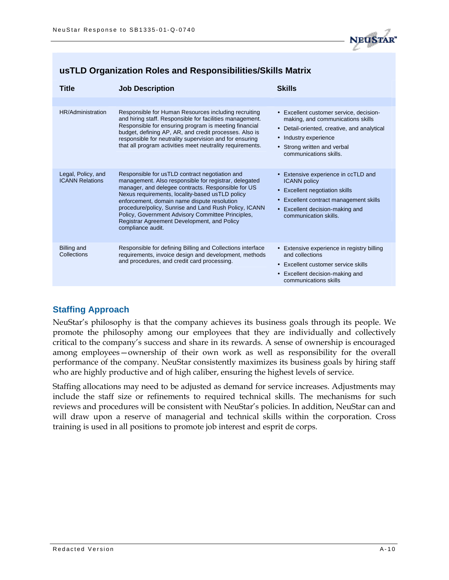

| <b>Title</b>                                 | <b>Job Description</b>                                                                                                                                                                                                                                                                                                                                                                                                                            | <b>Skills</b>                                                                                                                                                                                                                   |
|----------------------------------------------|---------------------------------------------------------------------------------------------------------------------------------------------------------------------------------------------------------------------------------------------------------------------------------------------------------------------------------------------------------------------------------------------------------------------------------------------------|---------------------------------------------------------------------------------------------------------------------------------------------------------------------------------------------------------------------------------|
|                                              |                                                                                                                                                                                                                                                                                                                                                                                                                                                   |                                                                                                                                                                                                                                 |
| HR/Administration                            | Responsible for Human Resources including recruiting<br>and hiring staff. Responsible for facilities management.<br>Responsible for ensuring program is meeting financial<br>budget, defining AP, AR, and credit processes. Also is<br>responsible for neutrality supervision and for ensuring<br>that all program activities meet neutrality requirements.                                                                                       | • Excellent customer service, decision-<br>making, and communications skills<br>• Detail-oriented, creative, and analytical<br>Industry experience<br>$\bullet$<br>• Strong written and verbal<br>communications skills.        |
| Legal, Policy, and<br><b>ICANN Relations</b> | Responsible for usTLD contract negotiation and<br>management. Also responsible for registrar, delegated<br>manager, and delegee contracts. Responsible for US<br>Nexus requirements, locality-based usTLD policy<br>enforcement, domain name dispute resolution<br>procedure/policy, Sunrise and Land Rush Policy, ICANN<br>Policy, Government Advisory Committee Principles,<br>Registrar Agreement Development, and Policy<br>compliance audit. | • Extensive experience in ccTLD and<br><b>ICANN</b> policy<br><b>Excellent negotiation skills</b><br>$\bullet$<br>Excellent contract management skills<br>$\bullet$<br>• Excellent decision-making and<br>communication skills. |
| <b>Billing and</b><br>Collections            | Responsible for defining Billing and Collections interface<br>requirements, invoice design and development, methods<br>and procedures, and credit card processing.                                                                                                                                                                                                                                                                                | • Extensive experience in registry billing<br>and collections<br>• Excellent customer service skills<br>• Excellent decision-making and<br>communications skills                                                                |

#### **usTLD Organization Roles and Responsibilities/Skills Matrix**

#### **Staffing Approach**

NeuStar's philosophy is that the company achieves its business goals through its people. We promote the philosophy among our employees that they are individually and collectively critical to the company's success and share in its rewards. A sense of ownership is encouraged among employees—ownership of their own work as well as responsibility for the overall performance of the company. NeuStar consistently maximizes its business goals by hiring staff who are highly productive and of high caliber, ensuring the highest levels of service.

Staffing allocations may need to be adjusted as demand for service increases. Adjustments may include the staff size or refinements to required technical skills. The mechanisms for such reviews and procedures will be consistent with NeuStar's policies. In addition, NeuStar can and will draw upon a reserve of managerial and technical skills within the corporation. Cross training is used in all positions to promote job interest and esprit de corps.